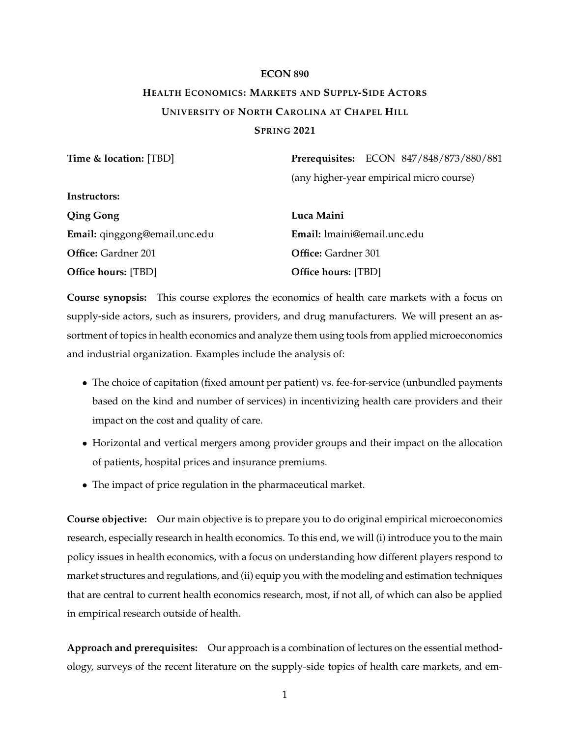# **ECON 890 HEALTH ECONOMICS: MARKETS AND SUPPLY-SIDE ACTORS UNIVERSITY OF NORTH CAROLINA AT CHAPEL HILL SPRING 2021**

| Time & location: [TBD]        | Prerequisites: ECON 847/848/873/880/881  |
|-------------------------------|------------------------------------------|
|                               | (any higher-year empirical micro course) |
| Instructors:                  |                                          |
| <b>Qing Gong</b>              | Luca Maini                               |
| Email: qinggong@email.unc.edu | Email: Imaini@email.unc.edu              |
| <b>Office:</b> Gardner 201    | <b>Office:</b> Gardner 301               |
| <b>Office hours: [TBD]</b>    | <b>Office hours: [TBD]</b>               |

**Course synopsis:** This course explores the economics of health care markets with a focus on supply-side actors, such as insurers, providers, and drug manufacturers. We will present an assortment of topics in health economics and analyze them using tools from applied microeconomics and industrial organization. Examples include the analysis of:

- The choice of capitation (fixed amount per patient) vs. fee-for-service (unbundled payments based on the kind and number of services) in incentivizing health care providers and their impact on the cost and quality of care.
- Horizontal and vertical mergers among provider groups and their impact on the allocation of patients, hospital prices and insurance premiums.
- The impact of price regulation in the pharmaceutical market.

**Course objective:** Our main objective is to prepare you to do original empirical microeconomics research, especially research in health economics. To this end, we will (i) introduce you to the main policy issues in health economics, with a focus on understanding how different players respond to market structures and regulations, and (ii) equip you with the modeling and estimation techniques that are central to current health economics research, most, if not all, of which can also be applied in empirical research outside of health.

**Approach and prerequisites:** Our approach is a combination of lectures on the essential methodology, surveys of the recent literature on the supply-side topics of health care markets, and em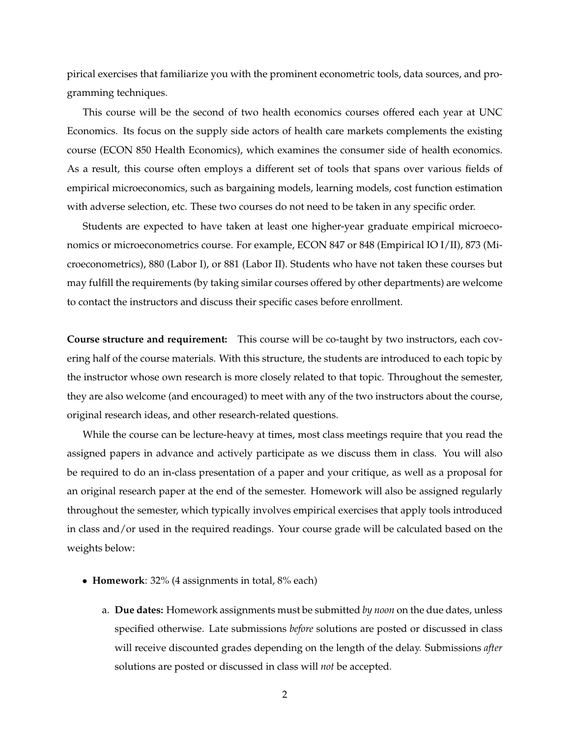pirical exercises that familiarize you with the prominent econometric tools, data sources, and programming techniques.

This course will be the second of two health economics courses offered each year at UNC Economics. Its focus on the supply side actors of health care markets complements the existing course (ECON 850 Health Economics), which examines the consumer side of health economics. As a result, this course often employs a different set of tools that spans over various fields of empirical microeconomics, such as bargaining models, learning models, cost function estimation with adverse selection, etc. These two courses do not need to be taken in any specific order.

Students are expected to have taken at least one higher-year graduate empirical microeconomics or microeconometrics course. For example, ECON 847 or 848 (Empirical IO I/II), 873 (Microeconometrics), 880 (Labor I), or 881 (Labor II). Students who have not taken these courses but may fulfill the requirements (by taking similar courses offered by other departments) are welcome to contact the instructors and discuss their specific cases before enrollment.

**Course structure and requirement:** This course will be co-taught by two instructors, each covering half of the course materials. With this structure, the students are introduced to each topic by the instructor whose own research is more closely related to that topic. Throughout the semester, they are also welcome (and encouraged) to meet with any of the two instructors about the course, original research ideas, and other research-related questions.

While the course can be lecture-heavy at times, most class meetings require that you read the assigned papers in advance and actively participate as we discuss them in class. You will also be required to do an in-class presentation of a paper and your critique, as well as a proposal for an original research paper at the end of the semester. Homework will also be assigned regularly throughout the semester, which typically involves empirical exercises that apply tools introduced in class and/or used in the required readings. Your course grade will be calculated based on the weights below:

- **Homework**: 32% (4 assignments in total, 8% each)
	- a. **Due dates:** Homework assignments must be submitted *by noon* on the due dates, unless specified otherwise. Late submissions *before* solutions are posted or discussed in class will receive discounted grades depending on the length of the delay. Submissions *after* solutions are posted or discussed in class will *not* be accepted.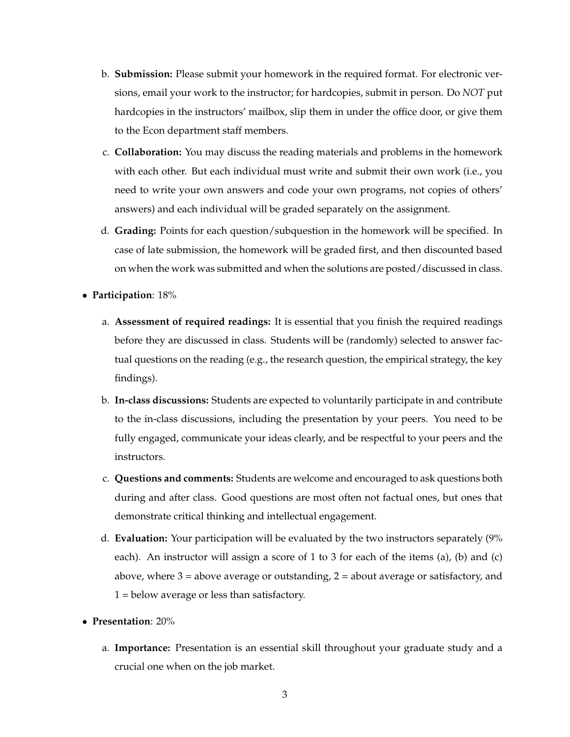- b. **Submission:** Please submit your homework in the required format. For electronic versions, email your work to the instructor; for hardcopies, submit in person. Do *NOT* put hardcopies in the instructors' mailbox, slip them in under the office door, or give them to the Econ department staff members.
- c. **Collaboration:** You may discuss the reading materials and problems in the homework with each other. But each individual must write and submit their own work (i.e., you need to write your own answers and code your own programs, not copies of others' answers) and each individual will be graded separately on the assignment.
- d. **Grading:** Points for each question/subquestion in the homework will be specified. In case of late submission, the homework will be graded first, and then discounted based on when the work was submitted and when the solutions are posted/discussed in class.
- **Participation**: 18%
	- a. **Assessment of required readings:** It is essential that you finish the required readings before they are discussed in class. Students will be (randomly) selected to answer factual questions on the reading (e.g., the research question, the empirical strategy, the key findings).
	- b. **In-class discussions:** Students are expected to voluntarily participate in and contribute to the in-class discussions, including the presentation by your peers. You need to be fully engaged, communicate your ideas clearly, and be respectful to your peers and the instructors.
	- c. **Questions and comments:** Students are welcome and encouraged to ask questions both during and after class. Good questions are most often not factual ones, but ones that demonstrate critical thinking and intellectual engagement.
	- d. **Evaluation:** Your participation will be evaluated by the two instructors separately (9% each). An instructor will assign a score of 1 to 3 for each of the items (a), (b) and (c) above, where  $3 =$  above average or outstanding,  $2 =$  about average or satisfactory, and 1 = below average or less than satisfactory.
- **Presentation**: 20%
	- a. **Importance:** Presentation is an essential skill throughout your graduate study and a crucial one when on the job market.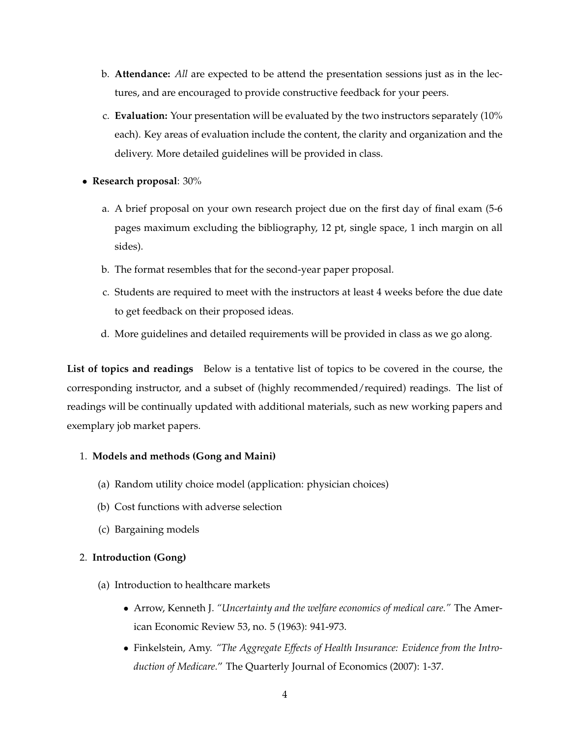- b. **Attendance:** *All* are expected to be attend the presentation sessions just as in the lectures, and are encouraged to provide constructive feedback for your peers.
- c. **Evaluation:** Your presentation will be evaluated by the two instructors separately (10% each). Key areas of evaluation include the content, the clarity and organization and the delivery. More detailed guidelines will be provided in class.
- **Research proposal**: 30%
	- a. A brief proposal on your own research project due on the first day of final exam (5-6 pages maximum excluding the bibliography, 12 pt, single space, 1 inch margin on all sides).
	- b. The format resembles that for the second-year paper proposal.
	- c. Students are required to meet with the instructors at least 4 weeks before the due date to get feedback on their proposed ideas.
	- d. More guidelines and detailed requirements will be provided in class as we go along.

**List of topics and readings** Below is a tentative list of topics to be covered in the course, the corresponding instructor, and a subset of (highly recommended/required) readings. The list of readings will be continually updated with additional materials, such as new working papers and exemplary job market papers.

#### 1. **Models and methods (Gong and Maini)**

- (a) Random utility choice model (application: physician choices)
- (b) Cost functions with adverse selection
- (c) Bargaining models

#### 2. **Introduction (Gong)**

- (a) Introduction to healthcare markets
	- Arrow, Kenneth J. *"Uncertainty and the welfare economics of medical care."* The American Economic Review 53, no. 5 (1963): 941-973.
	- Finkelstein, Amy. *"The Aggregate Effects of Health Insurance: Evidence from the Introduction of Medicare.*" The Quarterly Journal of Economics (2007): 1-37.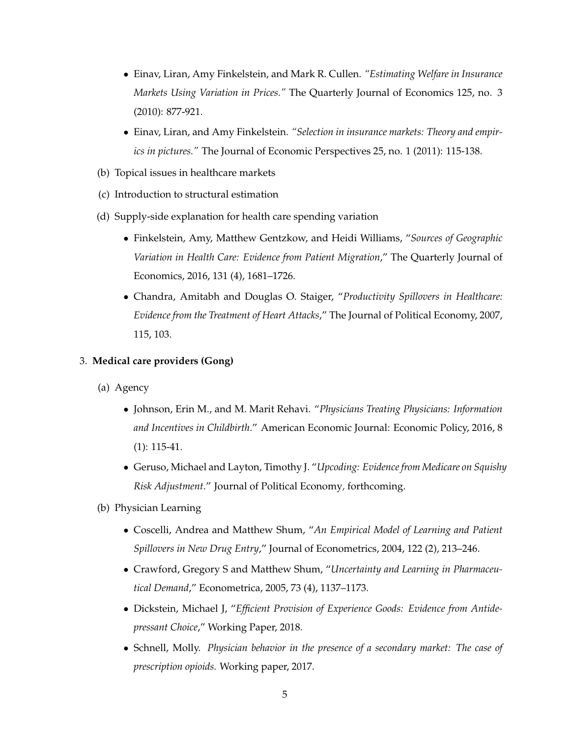- Einav, Liran, Amy Finkelstein, and Mark R. Cullen. *"Estimating Welfare in Insurance Markets Using Variation in Prices."* The Quarterly Journal of Economics 125, no. 3 (2010): 877-921.
- Einav, Liran, and Amy Finkelstein. *"Selection in insurance markets: Theory and empirics in pictures."* The Journal of Economic Perspectives 25, no. 1 (2011): 115-138.
- (b) Topical issues in healthcare markets
- (c) Introduction to structural estimation
- (d) Supply-side explanation for health care spending variation
	- Finkelstein, Amy, Matthew Gentzkow, and Heidi Williams, "*Sources of Geographic Variation in Health Care: Evidence from Patient Migration*," The Quarterly Journal of Economics, 2016, 131 (4), 1681–1726.
	- Chandra, Amitabh and Douglas O. Staiger, "*Productivity Spillovers in Healthcare: Evidence from the Treatment of Heart Attacks*," The Journal of Political Economy, 2007, 115, 103.

### 3. **Medical care providers (Gong)**

- (a) Agency
	- Johnson, Erin M., and M. Marit Rehavi. "*Physicians Treating Physicians: Information and Incentives in Childbirth*." American Economic Journal: Economic Policy, 2016, 8 (1): 115-41.
	- Geruso, Michael and Layton, Timothy J. "*Upcoding: Evidence from Medicare on Squishy Risk Adjustment*." Journal of Political Economy*,* forthcoming.
- (b) Physician Learning
	- Coscelli, Andrea and Matthew Shum, "*An Empirical Model of Learning and Patient Spillovers in New Drug Entry*," Journal of Econometrics, 2004, 122 (2), 213–246.
	- Crawford, Gregory S and Matthew Shum, "*Uncertainty and Learning in Pharmaceutical Demand*," Econometrica, 2005, 73 (4), 1137–1173.
	- Dickstein, Michael J, "*Efficient Provision of Experience Goods: Evidence from Antidepressant Choice*," Working Paper, 2018.
	- Schnell, Molly. *Physician behavior in the presence of a secondary market: The case of prescription opioids.* Working paper, 2017.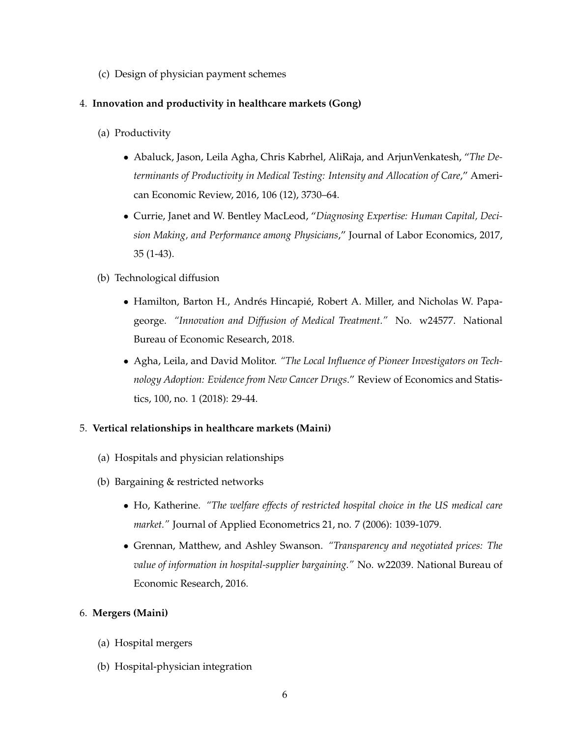(c) Design of physician payment schemes

## 4. **Innovation and productivity in healthcare markets (Gong)**

- (a) Productivity
	- Abaluck, Jason, Leila Agha, Chris Kabrhel, AliRaja, and ArjunVenkatesh, "*The Determinants of Productivity in Medical Testing: Intensity and Allocation of Care*," American Economic Review, 2016, 106 (12), 3730–64.
	- Currie, Janet and W. Bentley MacLeod, "*Diagnosing Expertise: Human Capital, Decision Making, and Performance among Physicians*," Journal of Labor Economics, 2017, 35 (1-43).
- (b) Technological diffusion
	- Hamilton, Barton H., Andrés Hincapié, Robert A. Miller, and Nicholas W. Papageorge. *"Innovation and Diffusion of Medical Treatment."* No. w24577. National Bureau of Economic Research, 2018.
	- Agha, Leila, and David Molitor. *"The Local Influence of Pioneer Investigators on Technology Adoption: Evidence from New Cancer Drugs*." Review of Economics and Statistics, 100, no. 1 (2018): 29-44.

## 5. **Vertical relationships in healthcare markets (Maini)**

- (a) Hospitals and physician relationships
- (b) Bargaining & restricted networks
	- Ho, Katherine. *"The welfare effects of restricted hospital choice in the US medical care market."* Journal of Applied Econometrics 21, no. 7 (2006): 1039-1079.
	- Grennan, Matthew, and Ashley Swanson. *"Transparency and negotiated prices: The value of information in hospital-supplier bargaining."* No. w22039. National Bureau of Economic Research, 2016.

#### 6. **Mergers (Maini)**

- (a) Hospital mergers
- (b) Hospital-physician integration